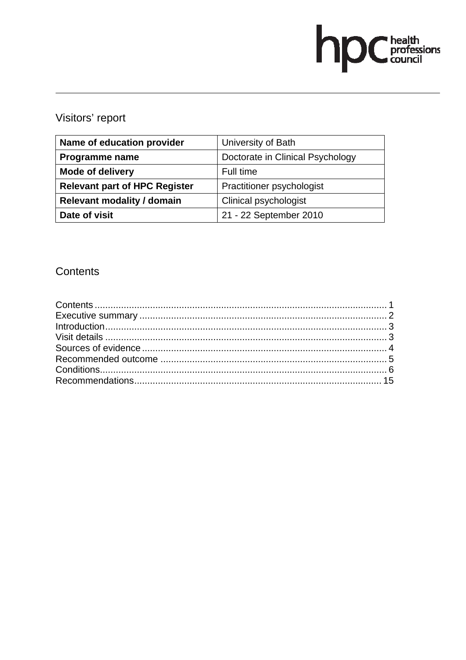# hpChealth<br>council

# Visitors' report

| Name of education provider           | University of Bath               |  |
|--------------------------------------|----------------------------------|--|
| Programme name                       | Doctorate in Clinical Psychology |  |
| <b>Mode of delivery</b>              | Full time                        |  |
| <b>Relevant part of HPC Register</b> | Practitioner psychologist        |  |
| <b>Relevant modality / domain</b>    | Clinical psychologist            |  |
| Date of visit                        | 21 - 22 September 2010           |  |

# **Contents**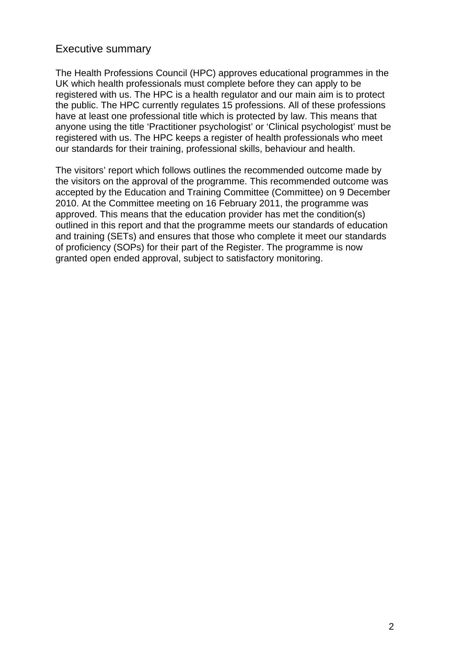# Executive summary

The Health Professions Council (HPC) approves educational programmes in the UK which health professionals must complete before they can apply to be registered with us. The HPC is a health regulator and our main aim is to protect the public. The HPC currently regulates 15 professions. All of these professions have at least one professional title which is protected by law. This means that anyone using the title 'Practitioner psychologist' or 'Clinical psychologist' must be registered with us. The HPC keeps a register of health professionals who meet our standards for their training, professional skills, behaviour and health.

The visitors' report which follows outlines the recommended outcome made by the visitors on the approval of the programme. This recommended outcome was accepted by the Education and Training Committee (Committee) on 9 December 2010. At the Committee meeting on 16 February 2011, the programme was approved. This means that the education provider has met the condition(s) outlined in this report and that the programme meets our standards of education and training (SETs) and ensures that those who complete it meet our standards of proficiency (SOPs) for their part of the Register. The programme is now granted open ended approval, subject to satisfactory monitoring.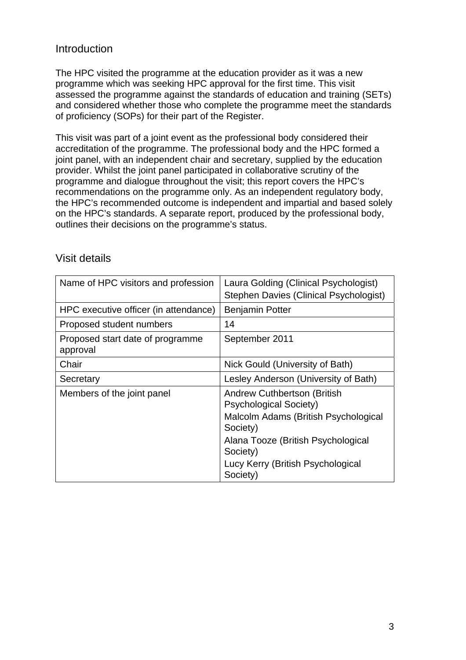# Introduction

The HPC visited the programme at the education provider as it was a new programme which was seeking HPC approval for the first time. This visit assessed the programme against the standards of education and training (SETs) and considered whether those who complete the programme meet the standards of proficiency (SOPs) for their part of the Register.

This visit was part of a joint event as the professional body considered their accreditation of the programme. The professional body and the HPC formed a joint panel, with an independent chair and secretary, supplied by the education provider. Whilst the joint panel participated in collaborative scrutiny of the programme and dialogue throughout the visit; this report covers the HPC's recommendations on the programme only. As an independent regulatory body, the HPC's recommended outcome is independent and impartial and based solely on the HPC's standards. A separate report, produced by the professional body, outlines their decisions on the programme's status.

| Name of HPC visitors and profession          | Laura Golding (Clinical Psychologist)<br>Stephen Davies (Clinical Psychologist) |
|----------------------------------------------|---------------------------------------------------------------------------------|
| HPC executive officer (in attendance)        | <b>Benjamin Potter</b>                                                          |
| Proposed student numbers                     | 14                                                                              |
| Proposed start date of programme<br>approval | September 2011                                                                  |
| Chair                                        | Nick Gould (University of Bath)                                                 |
| Secretary                                    | Lesley Anderson (University of Bath)                                            |
| Members of the joint panel                   | Andrew Cuthbertson (British<br><b>Psychological Society)</b>                    |
|                                              | Malcolm Adams (British Psychological<br>Society)                                |
|                                              | Alana Tooze (British Psychological<br>Society)                                  |
|                                              | Lucy Kerry (British Psychological<br>Society)                                   |

# Visit details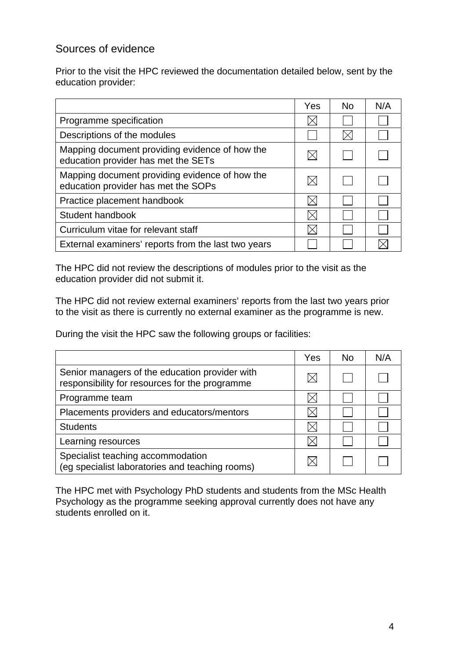# Sources of evidence

Prior to the visit the HPC reviewed the documentation detailed below, sent by the education provider:

|                                                                                       | Yes | <b>No</b> | N/A |
|---------------------------------------------------------------------------------------|-----|-----------|-----|
| Programme specification                                                               |     |           |     |
| Descriptions of the modules                                                           |     |           |     |
| Mapping document providing evidence of how the<br>education provider has met the SETs |     |           |     |
| Mapping document providing evidence of how the<br>education provider has met the SOPs |     |           |     |
| Practice placement handbook                                                           |     |           |     |
| Student handbook                                                                      |     |           |     |
| Curriculum vitae for relevant staff                                                   |     |           |     |
| External examiners' reports from the last two years                                   |     |           |     |

The HPC did not review the descriptions of modules prior to the visit as the education provider did not submit it.

The HPC did not review external examiners' reports from the last two years prior to the visit as there is currently no external examiner as the programme is new.

During the visit the HPC saw the following groups or facilities:

|                                                                                                  | Yes | <b>No</b> | N/A |
|--------------------------------------------------------------------------------------------------|-----|-----------|-----|
| Senior managers of the education provider with<br>responsibility for resources for the programme |     |           |     |
| Programme team                                                                                   |     |           |     |
| Placements providers and educators/mentors                                                       |     |           |     |
| <b>Students</b>                                                                                  |     |           |     |
| Learning resources                                                                               |     |           |     |
| Specialist teaching accommodation<br>(eg specialist laboratories and teaching rooms)             |     |           |     |

The HPC met with Psychology PhD students and students from the MSc Health Psychology as the programme seeking approval currently does not have any students enrolled on it.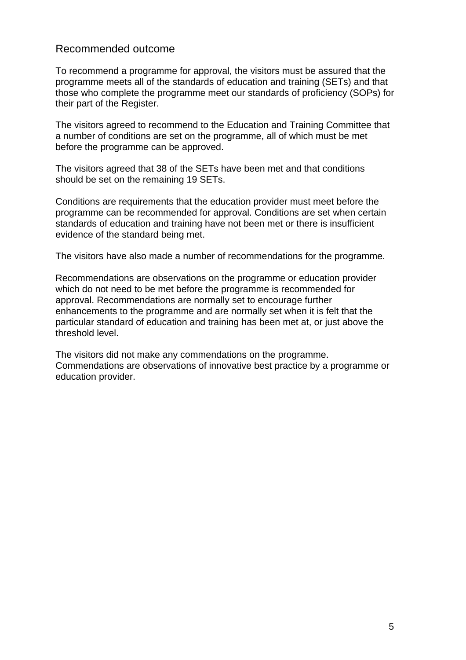# Recommended outcome

To recommend a programme for approval, the visitors must be assured that the programme meets all of the standards of education and training (SETs) and that those who complete the programme meet our standards of proficiency (SOPs) for their part of the Register.

The visitors agreed to recommend to the Education and Training Committee that a number of conditions are set on the programme, all of which must be met before the programme can be approved.

The visitors agreed that 38 of the SETs have been met and that conditions should be set on the remaining 19 SETs.

Conditions are requirements that the education provider must meet before the programme can be recommended for approval. Conditions are set when certain standards of education and training have not been met or there is insufficient evidence of the standard being met.

The visitors have also made a number of recommendations for the programme.

Recommendations are observations on the programme or education provider which do not need to be met before the programme is recommended for approval. Recommendations are normally set to encourage further enhancements to the programme and are normally set when it is felt that the particular standard of education and training has been met at, or just above the threshold level.

The visitors did not make any commendations on the programme. Commendations are observations of innovative best practice by a programme or education provider.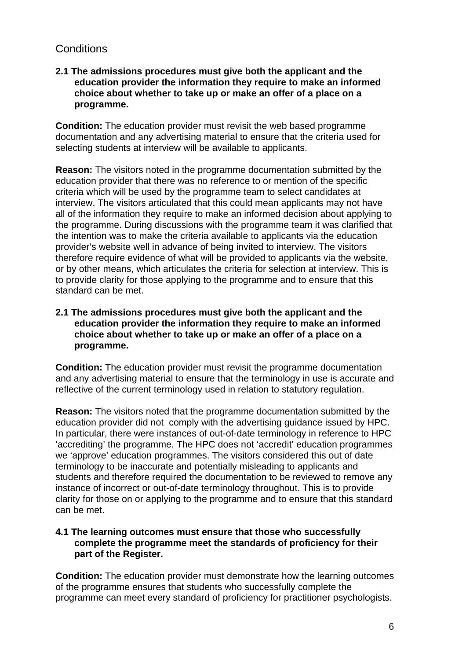# **Conditions**

#### **2.1 The admissions procedures must give both the applicant and the education provider the information they require to make an informed choice about whether to take up or make an offer of a place on a programme.**

**Condition:** The education provider must revisit the web based programme documentation and any advertising material to ensure that the criteria used for selecting students at interview will be available to applicants.

**Reason:** The visitors noted in the programme documentation submitted by the education provider that there was no reference to or mention of the specific criteria which will be used by the programme team to select candidates at interview. The visitors articulated that this could mean applicants may not have all of the information they require to make an informed decision about applying to the programme. During discussions with the programme team it was clarified that the intention was to make the criteria available to applicants via the education provider's website well in advance of being invited to interview. The visitors therefore require evidence of what will be provided to applicants via the website, or by other means, which articulates the criteria for selection at interview. This is to provide clarity for those applying to the programme and to ensure that this standard can be met.

#### **2.1 The admissions procedures must give both the applicant and the education provider the information they require to make an informed choice about whether to take up or make an offer of a place on a programme.**

**Condition:** The education provider must revisit the programme documentation and any advertising material to ensure that the terminology in use is accurate and reflective of the current terminology used in relation to statutory regulation.

**Reason:** The visitors noted that the programme documentation submitted by the education provider did not comply with the advertising guidance issued by HPC. In particular, there were instances of out-of-date terminology in reference to HPC 'accrediting' the programme. The HPC does not 'accredit' education programmes we 'approve' education programmes. The visitors considered this out of date terminology to be inaccurate and potentially misleading to applicants and students and therefore required the documentation to be reviewed to remove any instance of incorrect or out-of-date terminology throughout. This is to provide clarity for those on or applying to the programme and to ensure that this standard can be met.

#### **4.1 The learning outcomes must ensure that those who successfully complete the programme meet the standards of proficiency for their part of the Register.**

**Condition:** The education provider must demonstrate how the learning outcomes of the programme ensures that students who successfully complete the programme can meet every standard of proficiency for practitioner psychologists.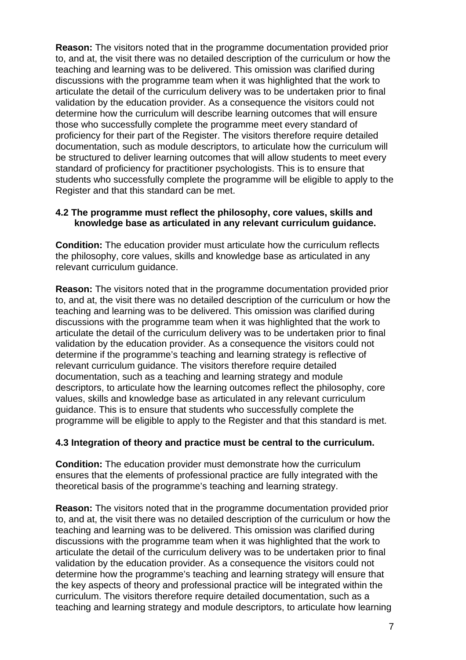**Reason:** The visitors noted that in the programme documentation provided prior to, and at, the visit there was no detailed description of the curriculum or how the teaching and learning was to be delivered. This omission was clarified during discussions with the programme team when it was highlighted that the work to articulate the detail of the curriculum delivery was to be undertaken prior to final validation by the education provider. As a consequence the visitors could not determine how the curriculum will describe learning outcomes that will ensure those who successfully complete the programme meet every standard of proficiency for their part of the Register. The visitors therefore require detailed documentation, such as module descriptors, to articulate how the curriculum will be structured to deliver learning outcomes that will allow students to meet every standard of proficiency for practitioner psychologists. This is to ensure that students who successfully complete the programme will be eligible to apply to the Register and that this standard can be met.

#### **4.2 The programme must reflect the philosophy, core values, skills and knowledge base as articulated in any relevant curriculum guidance.**

**Condition:** The education provider must articulate how the curriculum reflects the philosophy, core values, skills and knowledge base as articulated in any relevant curriculum guidance.

**Reason:** The visitors noted that in the programme documentation provided prior to, and at, the visit there was no detailed description of the curriculum or how the teaching and learning was to be delivered. This omission was clarified during discussions with the programme team when it was highlighted that the work to articulate the detail of the curriculum delivery was to be undertaken prior to final validation by the education provider. As a consequence the visitors could not determine if the programme's teaching and learning strategy is reflective of relevant curriculum guidance. The visitors therefore require detailed documentation, such as a teaching and learning strategy and module descriptors, to articulate how the learning outcomes reflect the philosophy, core values, skills and knowledge base as articulated in any relevant curriculum guidance. This is to ensure that students who successfully complete the programme will be eligible to apply to the Register and that this standard is met.

#### **4.3 Integration of theory and practice must be central to the curriculum.**

**Condition:** The education provider must demonstrate how the curriculum ensures that the elements of professional practice are fully integrated with the theoretical basis of the programme's teaching and learning strategy.

**Reason:** The visitors noted that in the programme documentation provided prior to, and at, the visit there was no detailed description of the curriculum or how the teaching and learning was to be delivered. This omission was clarified during discussions with the programme team when it was highlighted that the work to articulate the detail of the curriculum delivery was to be undertaken prior to final validation by the education provider. As a consequence the visitors could not determine how the programme's teaching and learning strategy will ensure that the key aspects of theory and professional practice will be integrated within the curriculum. The visitors therefore require detailed documentation, such as a teaching and learning strategy and module descriptors, to articulate how learning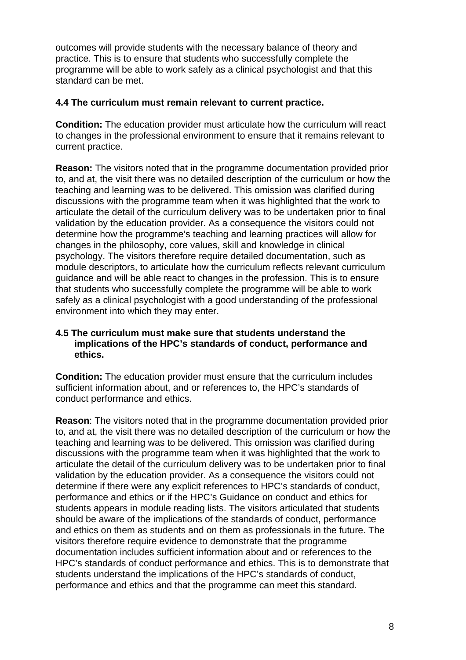outcomes will provide students with the necessary balance of theory and practice. This is to ensure that students who successfully complete the programme will be able to work safely as a clinical psychologist and that this standard can be met.

#### **4.4 The curriculum must remain relevant to current practice.**

**Condition:** The education provider must articulate how the curriculum will react to changes in the professional environment to ensure that it remains relevant to current practice.

**Reason:** The visitors noted that in the programme documentation provided prior to, and at, the visit there was no detailed description of the curriculum or how the teaching and learning was to be delivered. This omission was clarified during discussions with the programme team when it was highlighted that the work to articulate the detail of the curriculum delivery was to be undertaken prior to final validation by the education provider. As a consequence the visitors could not determine how the programme's teaching and learning practices will allow for changes in the philosophy, core values, skill and knowledge in clinical psychology. The visitors therefore require detailed documentation, such as module descriptors, to articulate how the curriculum reflects relevant curriculum guidance and will be able react to changes in the profession. This is to ensure that students who successfully complete the programme will be able to work safely as a clinical psychologist with a good understanding of the professional environment into which they may enter.

#### **4.5 The curriculum must make sure that students understand the implications of the HPC's standards of conduct, performance and ethics.**

**Condition:** The education provider must ensure that the curriculum includes sufficient information about, and or references to, the HPC's standards of conduct performance and ethics.

**Reason**: The visitors noted that in the programme documentation provided prior to, and at, the visit there was no detailed description of the curriculum or how the teaching and learning was to be delivered. This omission was clarified during discussions with the programme team when it was highlighted that the work to articulate the detail of the curriculum delivery was to be undertaken prior to final validation by the education provider. As a consequence the visitors could not determine if there were any explicit references to HPC's standards of conduct, performance and ethics or if the HPC's Guidance on conduct and ethics for students appears in module reading lists. The visitors articulated that students should be aware of the implications of the standards of conduct, performance and ethics on them as students and on them as professionals in the future. The visitors therefore require evidence to demonstrate that the programme documentation includes sufficient information about and or references to the HPC's standards of conduct performance and ethics. This is to demonstrate that students understand the implications of the HPC's standards of conduct, performance and ethics and that the programme can meet this standard.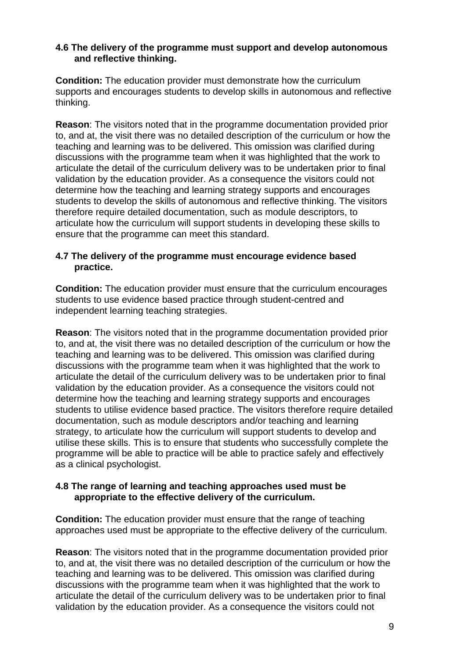#### **4.6 The delivery of the programme must support and develop autonomous and reflective thinking.**

**Condition:** The education provider must demonstrate how the curriculum supports and encourages students to develop skills in autonomous and reflective thinking.

**Reason**: The visitors noted that in the programme documentation provided prior to, and at, the visit there was no detailed description of the curriculum or how the teaching and learning was to be delivered. This omission was clarified during discussions with the programme team when it was highlighted that the work to articulate the detail of the curriculum delivery was to be undertaken prior to final validation by the education provider. As a consequence the visitors could not determine how the teaching and learning strategy supports and encourages students to develop the skills of autonomous and reflective thinking. The visitors therefore require detailed documentation, such as module descriptors, to articulate how the curriculum will support students in developing these skills to ensure that the programme can meet this standard.

#### **4.7 The delivery of the programme must encourage evidence based practice.**

**Condition:** The education provider must ensure that the curriculum encourages students to use evidence based practice through student-centred and independent learning teaching strategies.

**Reason**: The visitors noted that in the programme documentation provided prior to, and at, the visit there was no detailed description of the curriculum or how the teaching and learning was to be delivered. This omission was clarified during discussions with the programme team when it was highlighted that the work to articulate the detail of the curriculum delivery was to be undertaken prior to final validation by the education provider. As a consequence the visitors could not determine how the teaching and learning strategy supports and encourages students to utilise evidence based practice. The visitors therefore require detailed documentation, such as module descriptors and/or teaching and learning strategy, to articulate how the curriculum will support students to develop and utilise these skills. This is to ensure that students who successfully complete the programme will be able to practice will be able to practice safely and effectively as a clinical psychologist.

#### **4.8 The range of learning and teaching approaches used must be appropriate to the effective delivery of the curriculum.**

**Condition:** The education provider must ensure that the range of teaching approaches used must be appropriate to the effective delivery of the curriculum.

**Reason**: The visitors noted that in the programme documentation provided prior to, and at, the visit there was no detailed description of the curriculum or how the teaching and learning was to be delivered. This omission was clarified during discussions with the programme team when it was highlighted that the work to articulate the detail of the curriculum delivery was to be undertaken prior to final validation by the education provider. As a consequence the visitors could not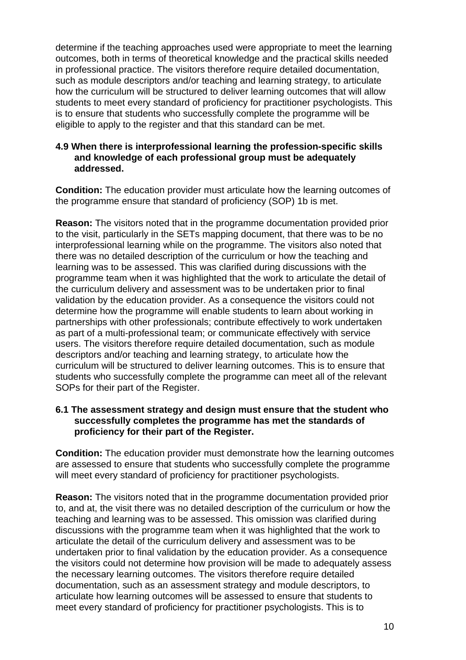determine if the teaching approaches used were appropriate to meet the learning outcomes, both in terms of theoretical knowledge and the practical skills needed in professional practice. The visitors therefore require detailed documentation, such as module descriptors and/or teaching and learning strategy, to articulate how the curriculum will be structured to deliver learning outcomes that will allow students to meet every standard of proficiency for practitioner psychologists. This is to ensure that students who successfully complete the programme will be eligible to apply to the register and that this standard can be met.

#### **4.9 When there is interprofessional learning the profession-specific skills and knowledge of each professional group must be adequately addressed.**

**Condition:** The education provider must articulate how the learning outcomes of the programme ensure that standard of proficiency (SOP) 1b is met.

**Reason:** The visitors noted that in the programme documentation provided prior to the visit, particularly in the SETs mapping document, that there was to be no interprofessional learning while on the programme. The visitors also noted that there was no detailed description of the curriculum or how the teaching and learning was to be assessed. This was clarified during discussions with the programme team when it was highlighted that the work to articulate the detail of the curriculum delivery and assessment was to be undertaken prior to final validation by the education provider. As a consequence the visitors could not determine how the programme will enable students to learn about working in partnerships with other professionals; contribute effectively to work undertaken as part of a multi-professional team; or communicate effectively with service users. The visitors therefore require detailed documentation, such as module descriptors and/or teaching and learning strategy, to articulate how the curriculum will be structured to deliver learning outcomes. This is to ensure that students who successfully complete the programme can meet all of the relevant SOPs for their part of the Register.

#### **6.1 The assessment strategy and design must ensure that the student who successfully completes the programme has met the standards of proficiency for their part of the Register.**

**Condition:** The education provider must demonstrate how the learning outcomes are assessed to ensure that students who successfully complete the programme will meet every standard of proficiency for practitioner psychologists.

**Reason:** The visitors noted that in the programme documentation provided prior to, and at, the visit there was no detailed description of the curriculum or how the teaching and learning was to be assessed. This omission was clarified during discussions with the programme team when it was highlighted that the work to articulate the detail of the curriculum delivery and assessment was to be undertaken prior to final validation by the education provider. As a consequence the visitors could not determine how provision will be made to adequately assess the necessary learning outcomes. The visitors therefore require detailed documentation, such as an assessment strategy and module descriptors, to articulate how learning outcomes will be assessed to ensure that students to meet every standard of proficiency for practitioner psychologists. This is to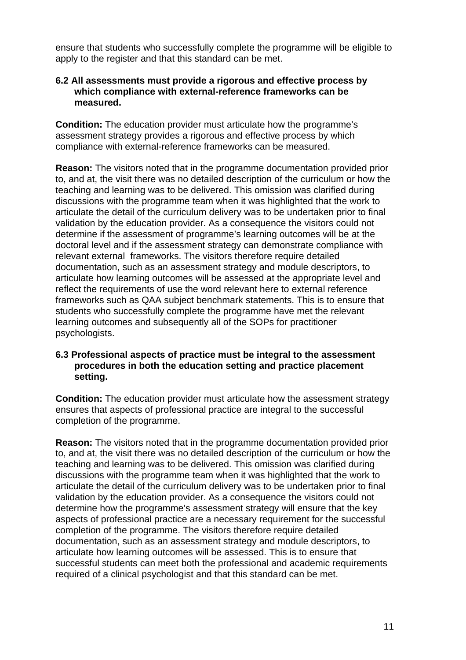ensure that students who successfully complete the programme will be eligible to apply to the register and that this standard can be met.

#### **6.2 All assessments must provide a rigorous and effective process by which compliance with external-reference frameworks can be measured.**

**Condition:** The education provider must articulate how the programme's assessment strategy provides a rigorous and effective process by which compliance with external-reference frameworks can be measured.

**Reason:** The visitors noted that in the programme documentation provided prior to, and at, the visit there was no detailed description of the curriculum or how the teaching and learning was to be delivered. This omission was clarified during discussions with the programme team when it was highlighted that the work to articulate the detail of the curriculum delivery was to be undertaken prior to final validation by the education provider. As a consequence the visitors could not determine if the assessment of programme's learning outcomes will be at the doctoral level and if the assessment strategy can demonstrate compliance with relevant external frameworks. The visitors therefore require detailed documentation, such as an assessment strategy and module descriptors, to articulate how learning outcomes will be assessed at the appropriate level and reflect the requirements of use the word relevant here to external reference frameworks such as QAA subject benchmark statements. This is to ensure that students who successfully complete the programme have met the relevant learning outcomes and subsequently all of the SOPs for practitioner psychologists.

#### **6.3 Professional aspects of practice must be integral to the assessment procedures in both the education setting and practice placement setting.**

**Condition:** The education provider must articulate how the assessment strategy ensures that aspects of professional practice are integral to the successful completion of the programme.

**Reason:** The visitors noted that in the programme documentation provided prior to, and at, the visit there was no detailed description of the curriculum or how the teaching and learning was to be delivered. This omission was clarified during discussions with the programme team when it was highlighted that the work to articulate the detail of the curriculum delivery was to be undertaken prior to final validation by the education provider. As a consequence the visitors could not determine how the programme's assessment strategy will ensure that the key aspects of professional practice are a necessary requirement for the successful completion of the programme. The visitors therefore require detailed documentation, such as an assessment strategy and module descriptors, to articulate how learning outcomes will be assessed. This is to ensure that successful students can meet both the professional and academic requirements required of a clinical psychologist and that this standard can be met.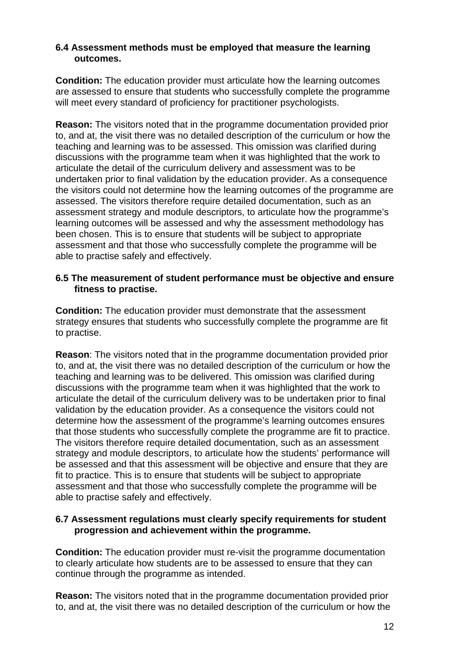#### **6.4 Assessment methods must be employed that measure the learning outcomes.**

**Condition:** The education provider must articulate how the learning outcomes are assessed to ensure that students who successfully complete the programme will meet every standard of proficiency for practitioner psychologists.

**Reason:** The visitors noted that in the programme documentation provided prior to, and at, the visit there was no detailed description of the curriculum or how the teaching and learning was to be assessed. This omission was clarified during discussions with the programme team when it was highlighted that the work to articulate the detail of the curriculum delivery and assessment was to be undertaken prior to final validation by the education provider. As a consequence the visitors could not determine how the learning outcomes of the programme are assessed. The visitors therefore require detailed documentation, such as an assessment strategy and module descriptors, to articulate how the programme's learning outcomes will be assessed and why the assessment methodology has been chosen. This is to ensure that students will be subject to appropriate assessment and that those who successfully complete the programme will be able to practise safely and effectively.

#### **6.5 The measurement of student performance must be objective and ensure fitness to practise.**

**Condition:** The education provider must demonstrate that the assessment strategy ensures that students who successfully complete the programme are fit to practise.

**Reason**: The visitors noted that in the programme documentation provided prior to, and at, the visit there was no detailed description of the curriculum or how the teaching and learning was to be delivered. This omission was clarified during discussions with the programme team when it was highlighted that the work to articulate the detail of the curriculum delivery was to be undertaken prior to final validation by the education provider. As a consequence the visitors could not determine how the assessment of the programme's learning outcomes ensures that those students who successfully complete the programme are fit to practice. The visitors therefore require detailed documentation, such as an assessment strategy and module descriptors, to articulate how the students' performance will be assessed and that this assessment will be objective and ensure that they are fit to practice. This is to ensure that students will be subject to appropriate assessment and that those who successfully complete the programme will be able to practise safely and effectively.

#### **6.7 Assessment regulations must clearly specify requirements for student progression and achievement within the programme.**

**Condition:** The education provider must re-visit the programme documentation to clearly articulate how students are to be assessed to ensure that they can continue through the programme as intended.

**Reason:** The visitors noted that in the programme documentation provided prior to, and at, the visit there was no detailed description of the curriculum or how the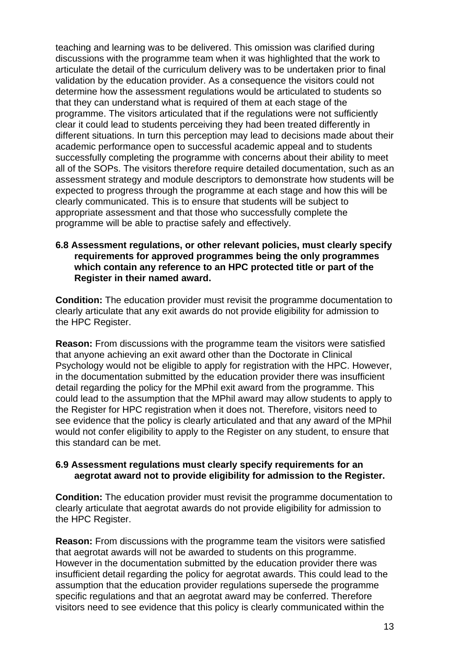teaching and learning was to be delivered. This omission was clarified during discussions with the programme team when it was highlighted that the work to articulate the detail of the curriculum delivery was to be undertaken prior to final validation by the education provider. As a consequence the visitors could not determine how the assessment regulations would be articulated to students so that they can understand what is required of them at each stage of the programme. The visitors articulated that if the regulations were not sufficiently clear it could lead to students perceiving they had been treated differently in different situations. In turn this perception may lead to decisions made about their academic performance open to successful academic appeal and to students successfully completing the programme with concerns about their ability to meet all of the SOPs. The visitors therefore require detailed documentation, such as an assessment strategy and module descriptors to demonstrate how students will be expected to progress through the programme at each stage and how this will be clearly communicated. This is to ensure that students will be subject to appropriate assessment and that those who successfully complete the programme will be able to practise safely and effectively.

#### **6.8 Assessment regulations, or other relevant policies, must clearly specify requirements for approved programmes being the only programmes which contain any reference to an HPC protected title or part of the Register in their named award.**

**Condition:** The education provider must revisit the programme documentation to clearly articulate that any exit awards do not provide eligibility for admission to the HPC Register.

**Reason:** From discussions with the programme team the visitors were satisfied that anyone achieving an exit award other than the Doctorate in Clinical Psychology would not be eligible to apply for registration with the HPC. However, in the documentation submitted by the education provider there was insufficient detail regarding the policy for the MPhil exit award from the programme. This could lead to the assumption that the MPhil award may allow students to apply to the Register for HPC registration when it does not. Therefore, visitors need to see evidence that the policy is clearly articulated and that any award of the MPhil would not confer eligibility to apply to the Register on any student, to ensure that this standard can be met.

#### **6.9 Assessment regulations must clearly specify requirements for an aegrotat award not to provide eligibility for admission to the Register.**

**Condition:** The education provider must revisit the programme documentation to clearly articulate that aegrotat awards do not provide eligibility for admission to the HPC Register.

**Reason:** From discussions with the programme team the visitors were satisfied that aegrotat awards will not be awarded to students on this programme. However in the documentation submitted by the education provider there was insufficient detail regarding the policy for aegrotat awards. This could lead to the assumption that the education provider regulations supersede the programme specific regulations and that an aegrotat award may be conferred. Therefore visitors need to see evidence that this policy is clearly communicated within the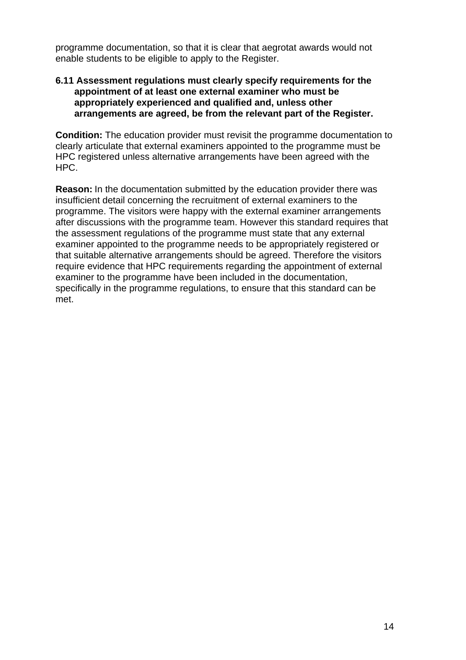programme documentation, so that it is clear that aegrotat awards would not enable students to be eligible to apply to the Register.

#### **6.11 Assessment regulations must clearly specify requirements for the appointment of at least one external examiner who must be appropriately experienced and qualified and, unless other arrangements are agreed, be from the relevant part of the Register.**

**Condition:** The education provider must revisit the programme documentation to clearly articulate that external examiners appointed to the programme must be HPC registered unless alternative arrangements have been agreed with the HPC.

**Reason:** In the documentation submitted by the education provider there was insufficient detail concerning the recruitment of external examiners to the programme. The visitors were happy with the external examiner arrangements after discussions with the programme team. However this standard requires that the assessment regulations of the programme must state that any external examiner appointed to the programme needs to be appropriately registered or that suitable alternative arrangements should be agreed. Therefore the visitors require evidence that HPC requirements regarding the appointment of external examiner to the programme have been included in the documentation, specifically in the programme regulations, to ensure that this standard can be met.